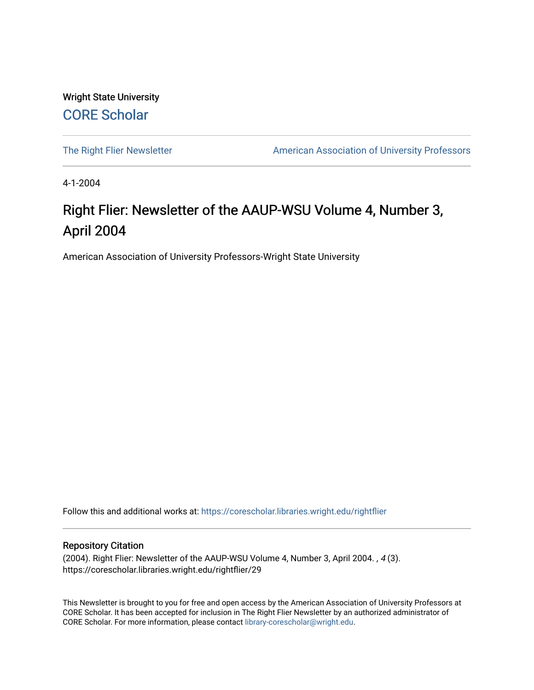Wright State University [CORE Scholar](https://corescholar.libraries.wright.edu/)

[The Right Flier Newsletter](https://corescholar.libraries.wright.edu/rightflier) **American Association of University Professors** 

4-1-2004

# Right Flier: Newsletter of the AAUP-WSU Volume 4, Number 3, April 2004

American Association of University Professors-Wright State University

Follow this and additional works at: [https://corescholar.libraries.wright.edu/rightflier](https://corescholar.libraries.wright.edu/rightflier?utm_source=corescholar.libraries.wright.edu%2Frightflier%2F29&utm_medium=PDF&utm_campaign=PDFCoverPages) 

#### Repository Citation

(2004). Right Flier: Newsletter of the AAUP-WSU Volume 4, Number 3, April 2004. , 4 (3). https://corescholar.libraries.wright.edu/rightflier/29

This Newsletter is brought to you for free and open access by the American Association of University Professors at CORE Scholar. It has been accepted for inclusion in The Right Flier Newsletter by an authorized administrator of CORE Scholar. For more information, please contact [library-corescholar@wright.edu](mailto:library-corescholar@wright.edu).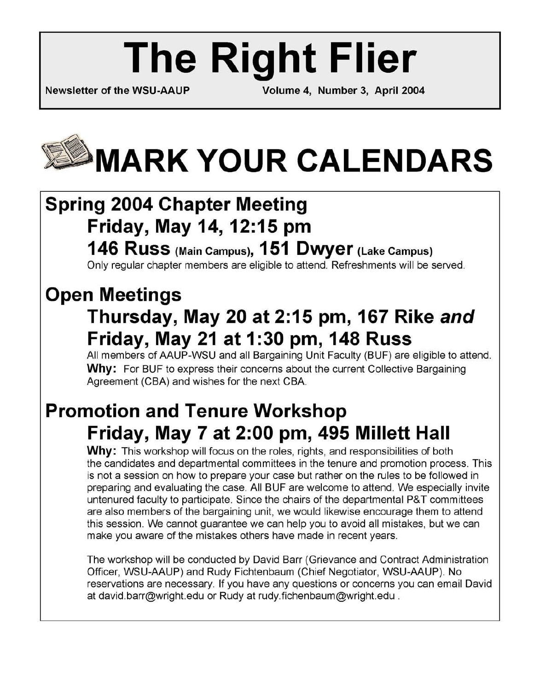# **The Right Flier**

**Newsletter of the WSU-AAUP Volume 4, Number 3, April 2004** 

# **MARK YOUR CALENDARS**

# **Spring 2004 Chapter Meeting Friday, May 14,12:15 pm**

## **146 Russ (Main Campus), 151 Dwyer (Lake Campus)**  Only regular chapter members are eligible to attend. Refreshments will be served.

# **Open Meetings**

# **Thursday, May 20 at 2:15 pm, 167 Rike and Friday, May 21 at 1 :30 pm, 148 Russ**

All members of AAUP-WSU and all Bargaining Unit Faculty (BUF) are eligible to attend. **Why:** For BUF to express their concerns about the current Collective Bargaining Agreement (CBA) and wishes for the next CBA.

# **Promotion and Tenure Workshop Friday, May 7 at 2:00 pm, 495 Millett Hall**

**Why:** This workshop will focus on the roles, rights, and responsibilities of both the candidates and departmental committees in the tenure and promotion process. This is not a session on how to prepare your case but rather on the rules to be followed in preparing and evaluating the case. All BUF are welcome to attend. We especially invite untenured faculty to participate. Since the chairs of the departmental P&T committees are also members of the bargaining unit, we would likewise encourage them to attend this session. We cannot guarantee we can help you to avoid all mistakes, but we can make you aware of the mistakes others have made in recent years.

The workshop will be conducted by David Barr (Grievance and Contract Administration Officer, WSU-AAUP) and Rudy Fichtenbaum (Chief Negotiator, WSU-AAUP). No reservations are necessary. If you have any questions or concerns you can email David at david.barr@wright.edu or Rudy at rudy.fichenbaum@wright.edu .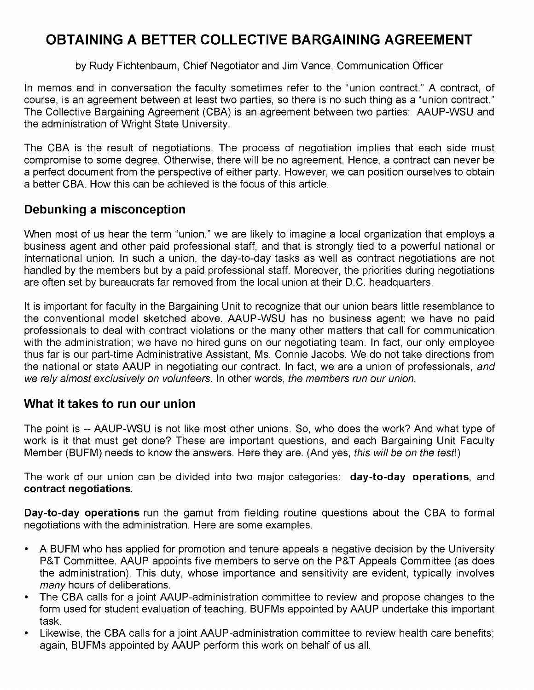## **OBTAINING A BETTER COLLECTIVE BARGAINING AGREEMENT**

#### by Rudy Fichtenbaum, Chief Negotiator and Jim Vance, Communication Officer

In memos and in conversation the faculty sometimes refer to the "union contract." A contract, of course, is an agreement between at least two parties, so there is no such thing as a "union contract." The Collective Bargaining Agreement (CBA) is an agreement between two parties: AAUP-WSU and the administration of Wright State University.

The CBA is the result of negotiations. The process of negotiation implies that each side must compromise to some degree. Otherwise, there will be no agreement. Hence, a contract can never be a perfect document from the perspective of either party. However, we can position ourselves to obtain a better CBA. How this can be achieved is the focus of this article.

## **Debunking a misconception**

When most of us hear the term "union," we are likely to imagine a local organization that employs a business agent and other paid professional staff, and that is strongly tied to a powerful national or international union. In such a union, the day-to-day tasks as well as contract negotiations are not handled by the members but by a paid professional staff. Moreover, the priorities during negotiations are often set by bureaucrats far removed from the local union at their D.C. headquarters.

It is important for faculty in the Bargaining Unit to recognize that our union bears little resemblance to the conventional model sketched above. AAUP-WSU has no business agent; we have no paid professionals to deal with contract violations or the many other matters that call for communication with the administration; we have no hired guns on our negotiating team. In fact, our only employee thus far is our part-time Administrative Assistant, Ms. Connie Jacobs. We do not take directions from the national or state AAUP in negotiating our contract. In fact, we are a union of professionals, and we rely almost exclusively on volunteers. In other words, the members run our union.

## **What it takes to run our union**

The point is -- AAUP-WSU is not like most other unions. So, who does the work? And what type of work is it that must get done? These are important questions, and each Bargaining Unit Faculty Member (BUFM) needs to know the answers. Here they are. (And yes, this will be on the test!)

The work of our union can be divided into two major categories: **day-to-day operations,** and **contract negotiations.** 

**Day-to-day operations** run the gamut from fielding routine questions about the CBA to formal negotiations with the administration. Here are some examples.

- A BUFM who has applied for promotion and tenure appeals a negative decision by the University P&T Committee. AAUP appoints five members to serve on the P&T Appeals Committee (as does the administration). This duty, whose importance and sensitivity are evident, typically involves many hours of deliberations.
- The CBA calls for a joint AAUP-administration committee to review and propose changes to the form used for student evaluation of teaching. BUFMs appointed by AAUP undertake this important task.
- Likewise, the CBA calls for a joint AAUP-administration committee to review health care benefits; again, BUFMs appointed by AAUP perform this work on behalf of us all.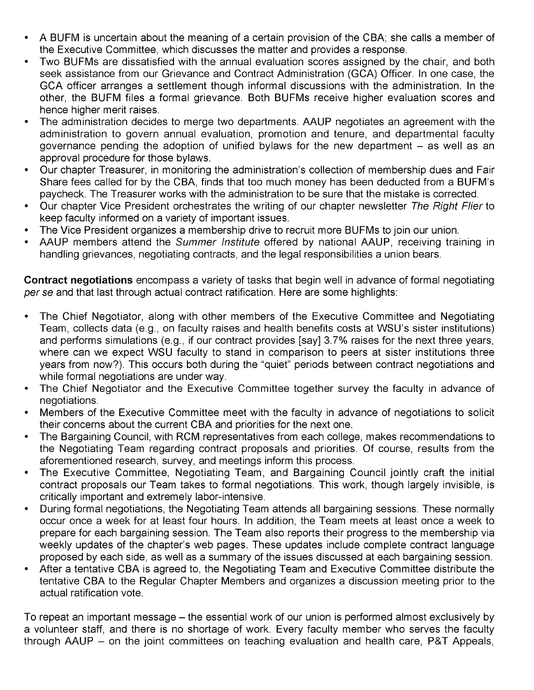- A BUFM is uncertain about the meaning of a certain provision of the CBA; she calls a member of the Executive Committee, which discusses the matter and provides a response.
- Two BUFMs are dissatisfied with the annual evaluation scores assigned by the chair, and both seek assistance from our Grievance and Contract Administration (GCA) Officer. In one case, the GCA officer arranges a settlement though informal discussions with the administration. In the other, the BUFM files a formal grievance. Both BUFMs receive higher evaluation scores and hence higher merit raises.
- The administration decides to merge two departments. AAUP negotiates an agreement with the administration to govern annual evaluation, promotion and tenure, and departmental faculty governance pending the adoption of unified bylaws for the new department  $-$  as well as an approval procedure for those bylaws.
- Our chapter Treasurer, in monitoring the administration's collection of membership dues and Fair Share fees called for by the CBA, finds that too much money has been deducted from a BUFM's paycheck. The Treasurer works with the administration to be sure that the mistake is corrected.
- Our chapter Vice President orchestrates the writing of our chapter newsletter The Right Flier to keep faculty informed on a variety of important issues.
- The Vice President organizes a membership drive to recruit more BUFMs to join our union.
- AAUP members attend the Summer Institute offered by national AAUP, receiving training in handling grievances, negotiating contracts, and the legal responsibilities a union bears.

**Contract negotiations** encompass a variety of tasks that begin well in advance of formal negotiating per se and that last through actual contract ratification. Here are some highlights:

- The Chief Negotiator, along with other members of the Executive Committee and Negotiating Team, collects data (e.g., on faculty raises and health benefits costs at WSU's sister institutions) and performs simulations (e.g., if our contract provides [say] 3.7% raises for the next three years, where can we expect WSU faculty to stand in comparison to peers at sister institutions three years from now?). This occurs both during the "quiet" periods between contract negotiations and while formal negotiations are under way.
- The Chief Negotiator and the Executive Committee together survey the faculty in advance of negotiations.
- Members of the Executive Committee meet with the faculty in advance of negotiations to solicit their concerns about the current CBA and priorities for the next one.
- The Bargaining Council, with RCM representatives from each college, makes recommendations to the Negotiating Team regarding contract proposals and priorities. Of course, results from the aforementioned research, survey, and meetings inform this process.
- The Executive Committee, Negotiating Team, and Bargaining Council jointly craft the initial contract proposals our Team takes to formal negotiations. This work, though largely invisible, is critically important and extremely labor-intensive.
- During formal negotiations, the Negotiating Team attends all bargaining sessions. These normally occur once a week for at least four hours. In addition, the Team meets at least once a week to prepare for each bargaining session. The Team also reports their progress to the membership via weekly updates of the chapter's web pages. These updates include complete contract language proposed by each side, as well as a summary of the issues discussed at each bargaining session.
- After a tentative CBA is agreed to, the Negotiating Team and Executive Committee distribute the tentative CBA to the Regular Chapter Members and organizes a discussion meeting prior to the actual ratification vote.

To repeat an important message - the essential work of our union is performed almost exclusively by a volunteer staff, and there is no shortage of work. Every faculty member who serves the faculty through AAUP – on the joint committees on teaching evaluation and health care, P&T Appeals,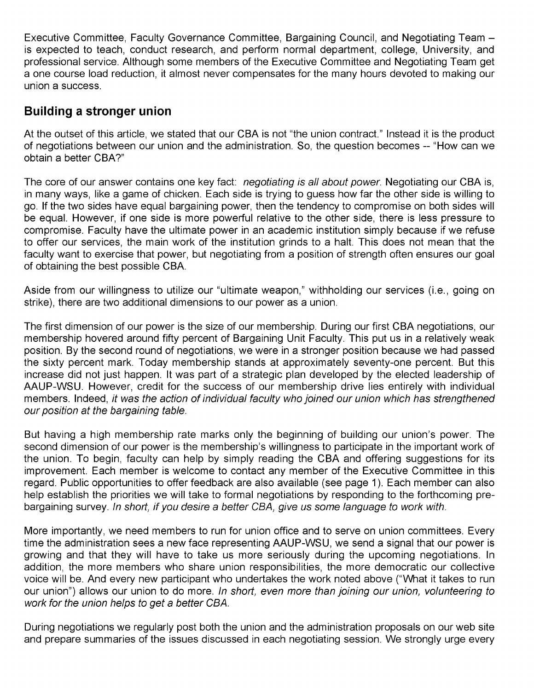Executive Committee, Faculty Governance Committee, Bargaining Council, and Negotiating Team is expected to teach, conduct research, and perform normal department, college, University, and professional service. Although some members of the Executive Committee and Negotiating Team get a one course load reduction, it almost never compensates for the many hours devoted to making our union a success.

## **Building a stronger union**

At the outset of this article, we stated that our CBA is not "the union contract." Instead it is the product of negotiations between our union and the administration. So, the question becomes -- "How can we obtain a better CBA?"

The core of our answer contains one key fact: *negotiating is all about power*. Negotiating our CBA is, in many ways, like a game of chicken. Each side is trying to guess how far the other side is willing to go. If the two sides have equal bargaining power, then the tendency to compromise on both sides will be equal. However, if one side is more powerful relative to the other side, there is less pressure to compromise. Faculty have the ultimate power in an academic institution simply because if we refuse to offer our services, the main work of the institution grinds to a halt. This does not mean that the faculty want to exercise that power, but negotiating from a position of strength often ensures our goal of obtaining the best possible CBA.

Aside from our willingness to utilize our "ultimate weapon," withholding our services (i.e., going on strike), there are two additional dimensions to our power as a union.

The first dimension of our power is the size of our membership. During our first CBA negotiations, our membership hovered around fifty percent of Bargaining Unit Faculty. This put us in a relatively weak position. By the second round of negotiations, we were in a stronger position because we had passed the sixty percent mark. Today membership stands at approximately seventy-one percent. But this increase did not just happen. It was part of a strategic plan developed by the elected leadership of AAUP-WSU. However, credit for the success of our membership drive lies entirely with individual members. Indeed, it was the action of individual faculty who joined our union which has strengthened our position at the bargaining table.

But having a high membership rate marks only the beginning of building our union's power. The second dimension of our power is the membership's willingness to participate in the important work of the union. To begin, faculty can help by simply reading the CBA and offering suggestions for its improvement. Each member is welcome to contact any member of the Executive Committee in this regard. Public opportunities to offer feedback are also available (see page 1). Each member can also help establish the priorities we will take to formal negotiations by responding to the forthcoming prebargaining survey. In short, if you desire a better CBA, give us some language to work with.

More importantly, we need members to run for union office and to serve on union committees. Every time the administration sees a new face representing AAUP-WSU, we send a signal that our power is growing and that they will have to take us more seriously during the upcoming negotiations. In addition, the more members who share union responsibilities, the more democratic our collective voice will be. And every new participant who undertakes the work noted above ("What it takes to run our union") allows our union to do more. In short, even more than joining our union, volunteering to work for the union helps to get a better CBA.

During negotiations we regularly post both the union and the administration proposals on our web site and prepare summaries of the issues discussed in each negotiating session. We strongly urge every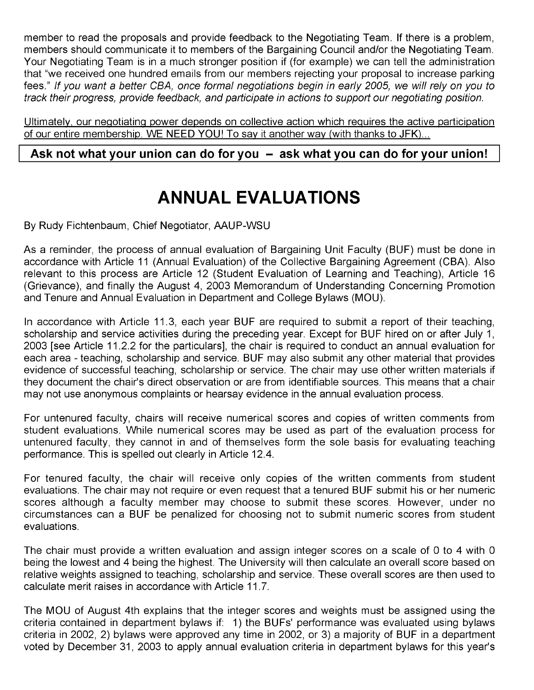member to read the proposals and provide feedback to the Negotiating Team. If there is a problem, members should communicate it to members of the Bargaining Council and/or the Negotiating Team. Your Negotiating Team is in a much stronger position if (for example) we can tell the administration that "we received one hundred emails from our members rejecting your proposal to increase parking fees." If you want a better CBA, once formal negotiations begin in early 2005, we will rely on you to track their progress, provide feedback, and participate in actions to support our negotiating position.

Ultimately, our negotiating power depends on collective action which requires the active participation of our entire membership. WE NEED YOU! To say it another way (with thanks to JFK)...

### Ask not what your union can do for you - ask what you can do for your union!

# **ANNUAL EVALUATIONS**

By Rudy Fichtenbaum, Chief Negotiator, AAUP-WSU

As a reminder, the process of annual evaluation of Bargaining Unit Faculty (BUF) must be done in accordance with Article 11 (Annual Evaluation) of the Collective Bargaining Agreement (CBA). Also relevant to this process are Article 12 (Student Evaluation of Learning and Teaching), Article 16 (Grievance), and finally the August 4, 2003 Memorandum of Understanding Concerning Promotion and Tenure and Annual Evaluation in Department and College Bylaws (MOU).

In accordance with Article 11.3, each year BUF are required to submit a report of their teaching, scholarship and service activities during the preceding year. Except for BUF hired on or after July 1, 2003 [see Article 11.2.2 for the particulars], the chair is required to conduct an annual evaluation for each area - teaching, scholarship and service. BUF may also submit any other material that provides evidence of successful teaching, scholarship or service. The chair may use other written materials if they document the chair's direct observation or are from identifiable sources. This means that a chair may not use anonymous complaints or hearsay evidence in the annual evaluation process.

For untenured faculty, chairs will receive numerical scores and copies of written comments from student evaluations. While numerical scores may be used as part of the evaluation process for untenured faculty, they cannot in and of themselves form the sole basis for evaluating teaching performance. This is spelled out clearly in Article 12.4.

For tenured faculty, the chair will receive only copies of the written comments from student evaluations. The chair may not require or even request that a tenured BUF submit his or her numeric scores although a faculty member may choose to submit these scores. However, under no circumstances can a BUF be penalized for choosing not to submit numeric scores from student evaluations.

The chair must provide a written evaluation and assign integer scores on a scale of 0 to 4 with 0 being the lowest and 4 being the highest. The University will then calculate an overall score based on relative weights assigned to teaching, scholarship and service. These overall scores are then used to calculate merit raises in accordance with Article 11.7.

The MOU of August 4th explains that the integer scores and weights must be assigned using the criteria contained in department bylaws if: 1) the BUFs' performance was evaluated using bylaws criteria in 2002, 2) bylaws were approved any time in 2002, or 3) a majority of BUF in a department voted by December 31, 2003 to apply annual evaluation criteria in department bylaws for this year's